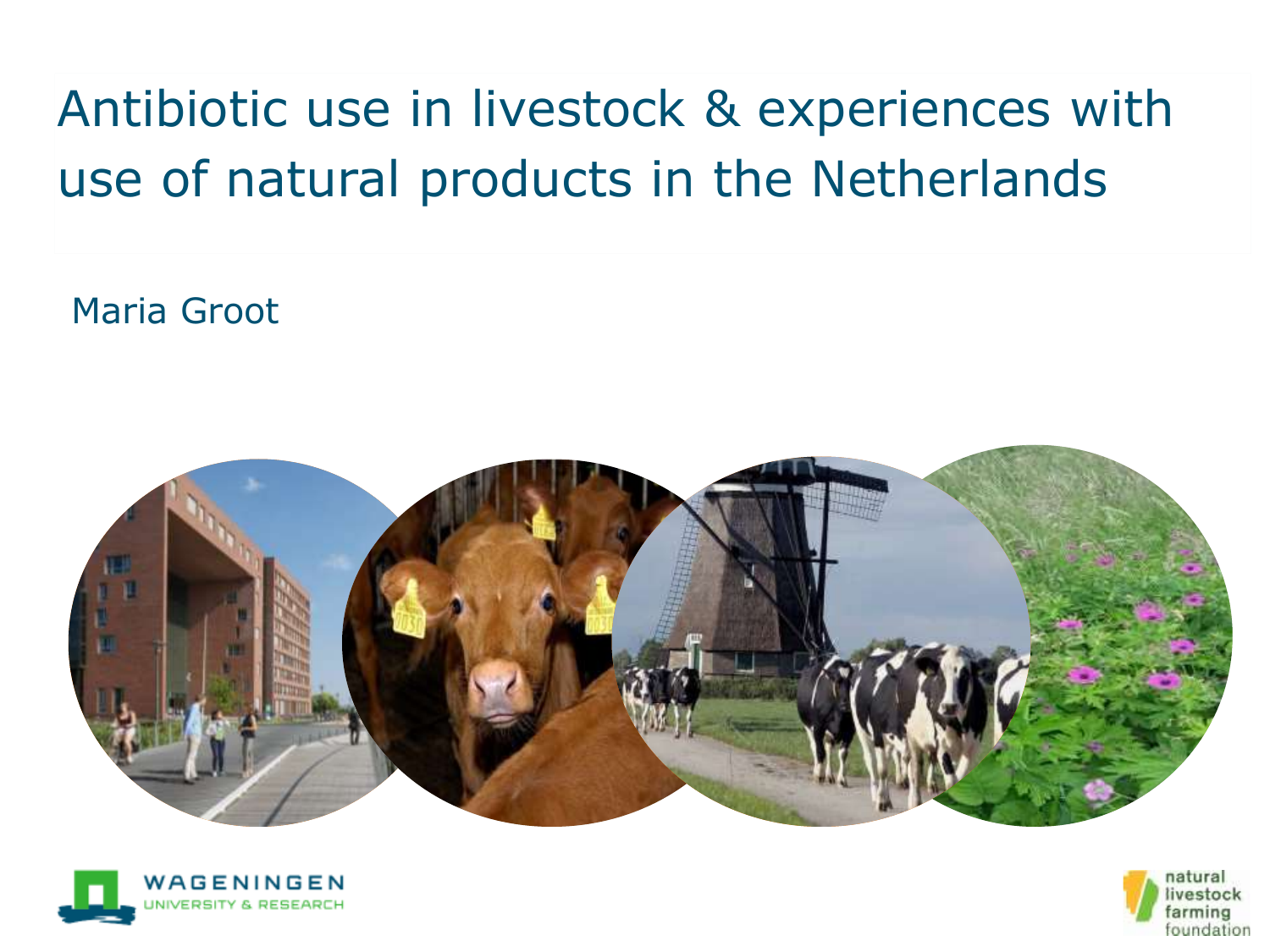# Antibiotic use in livestock & experiences with use of natural products in the Netherlands

Maria Groot





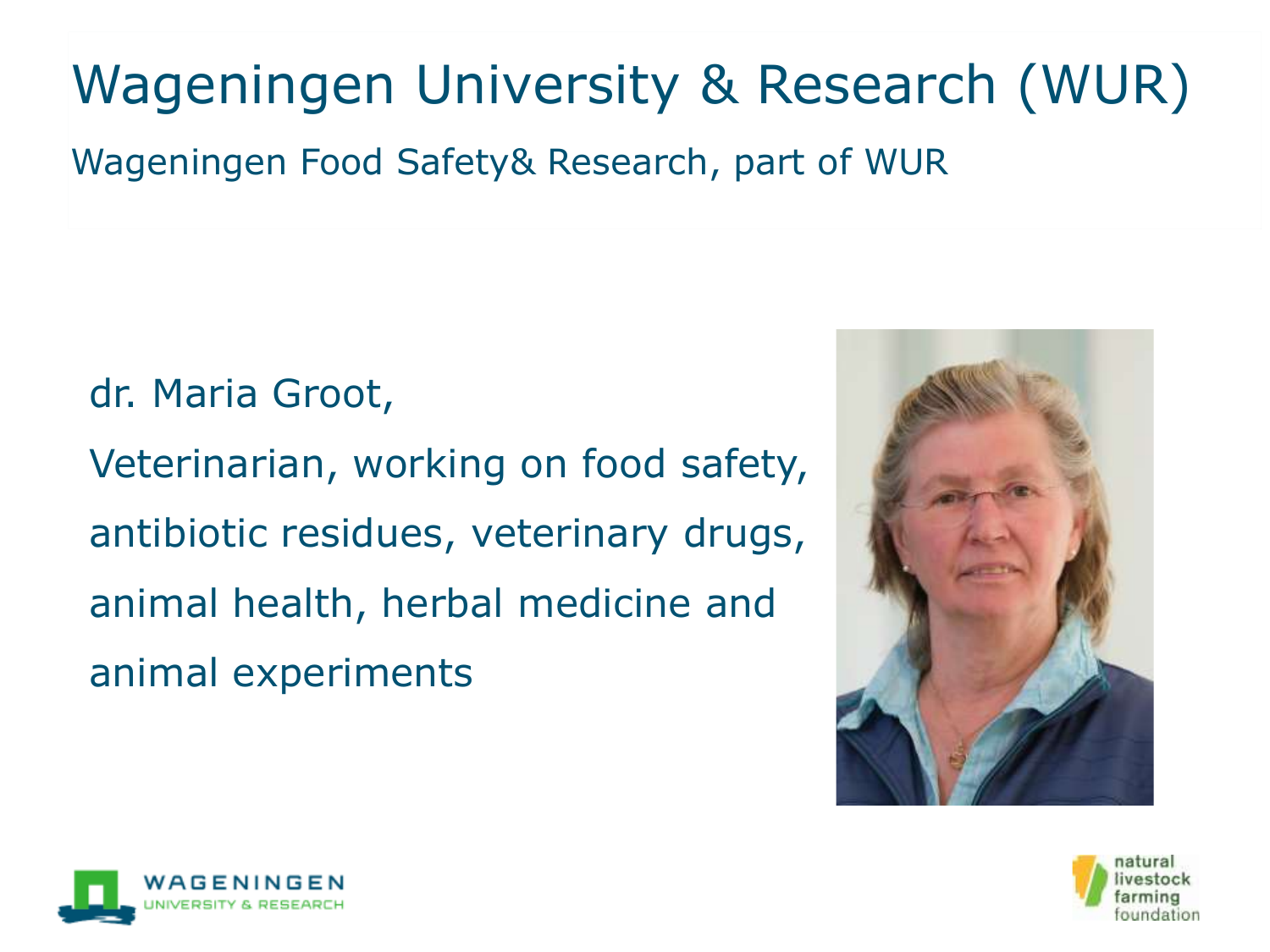

#### Wageningen University & Research (WUR)

Wageningen Food Safety& Research, part of WUR

dr. Maria Groot, Veterinarian, working on food safety, antibiotic residues, veterinary drugs, animal health, herbal medicine and animal experiments

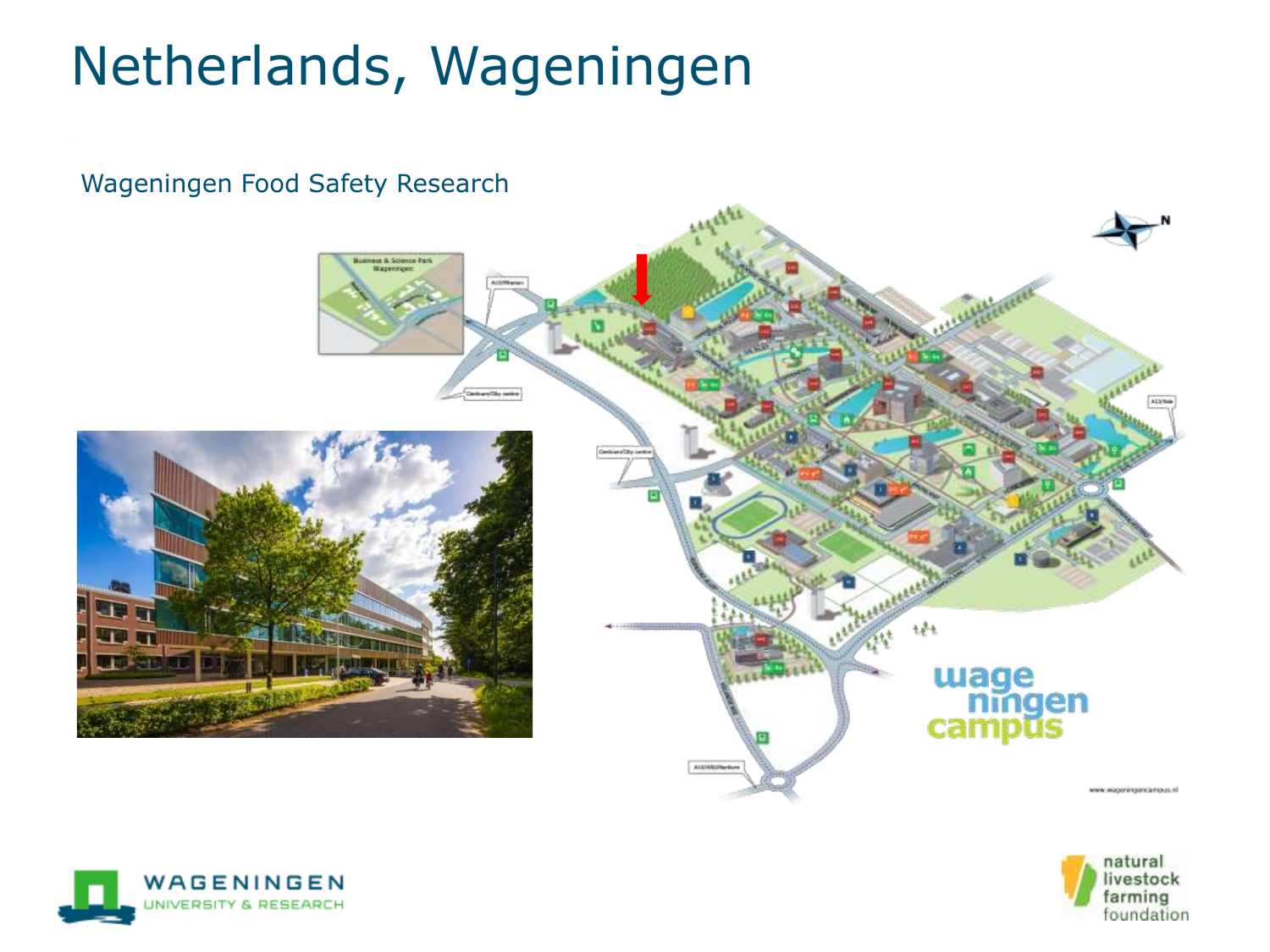# Netherlands, Wageningen





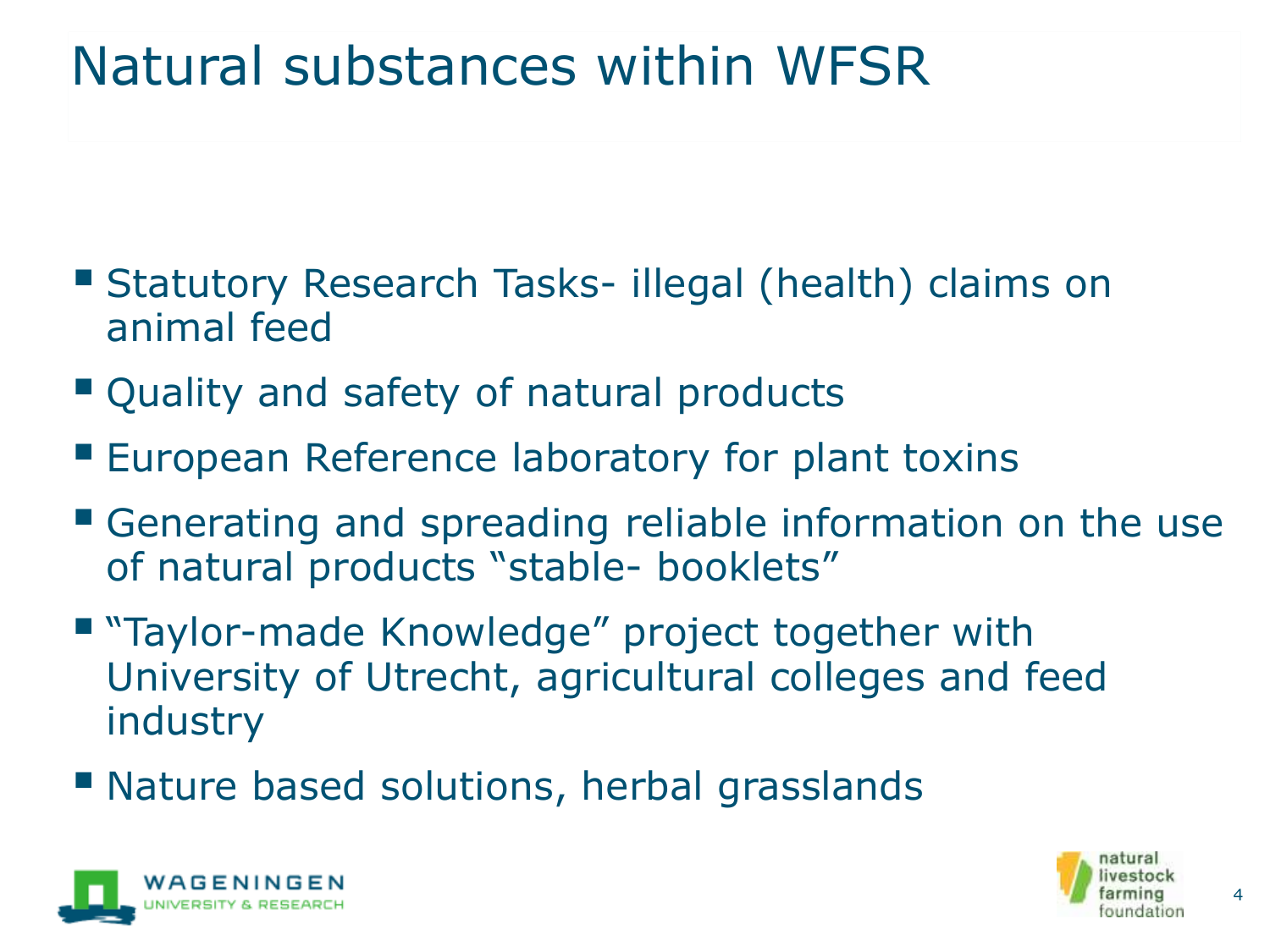### Natural substances within WFSR

- Statutory Research Tasks- illegal (health) claims on animal feed
- Quality and safety of natural products
- **European Reference laboratory for plant toxins**
- Generating and spreading reliable information on the use of natural products "stable- booklets"
- "Taylor-made Knowledge" project together with University of Utrecht, agricultural colleges and feed industry
- Nature based solutions, herbal grasslands



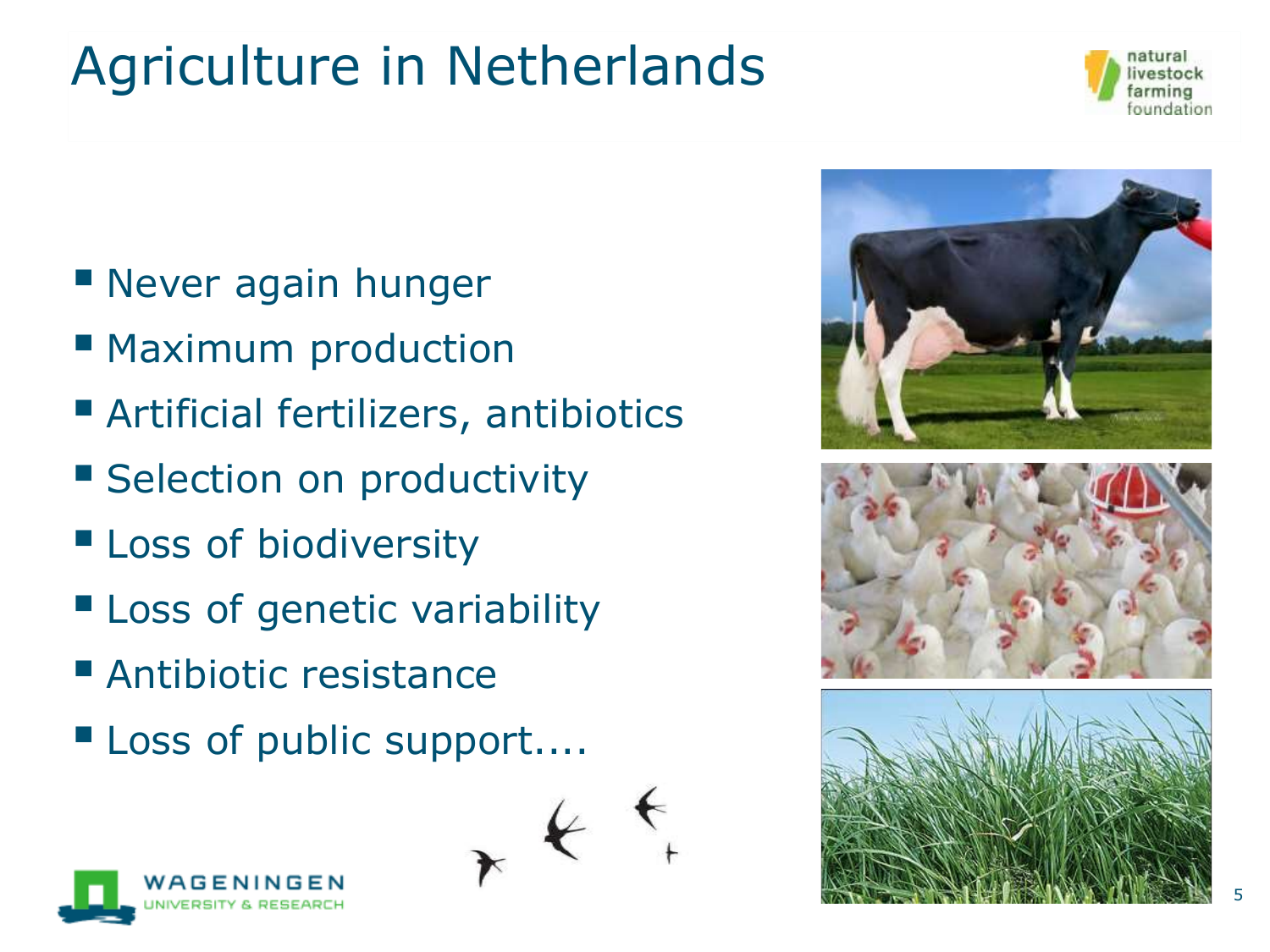# Agriculture in Netherlands



- Never again hunger
- Maximum production
- Artificial fertilizers, antibiotics
- **E** Selection on productivity
- **ELOSS of biodiversity**
- **E** Loss of genetic variability
- Antibiotic resistance
- Loss of public support....

 $\star$ 



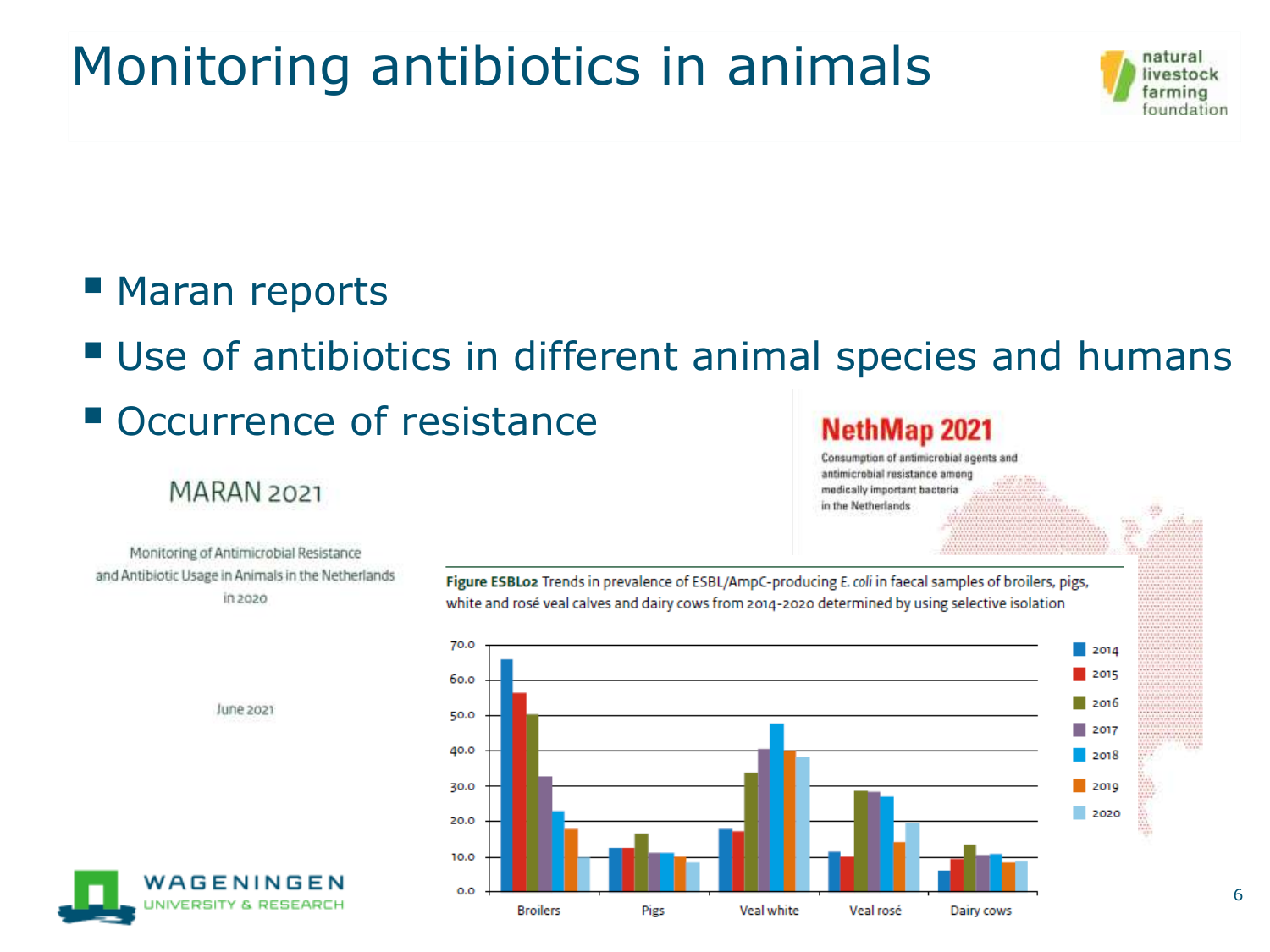### Monitoring antibiotics in animals



#### ■ Maran reports

■ Use of antibiotics in different animal species and humans

#### **Occurrence of resistance**

#### MARAN<sub>2021</sub>

#### **NethMap 2021**

Consumption of antimicrobial agents and antimicrobial resistance among medically important bacteria in the Netherlands

Monitoring of Antimicrobial Resistance and Antibiotic Usage in Animals in the Netherlands in 2020



Figure ESBLoz Trends in prevalence of ESBL/AmpC-producing E. coli in faecal samples of broilers, pigs,

white and rosé veal calves and dairy cows from 2014-2020 determined by using selective isolation

June 2021

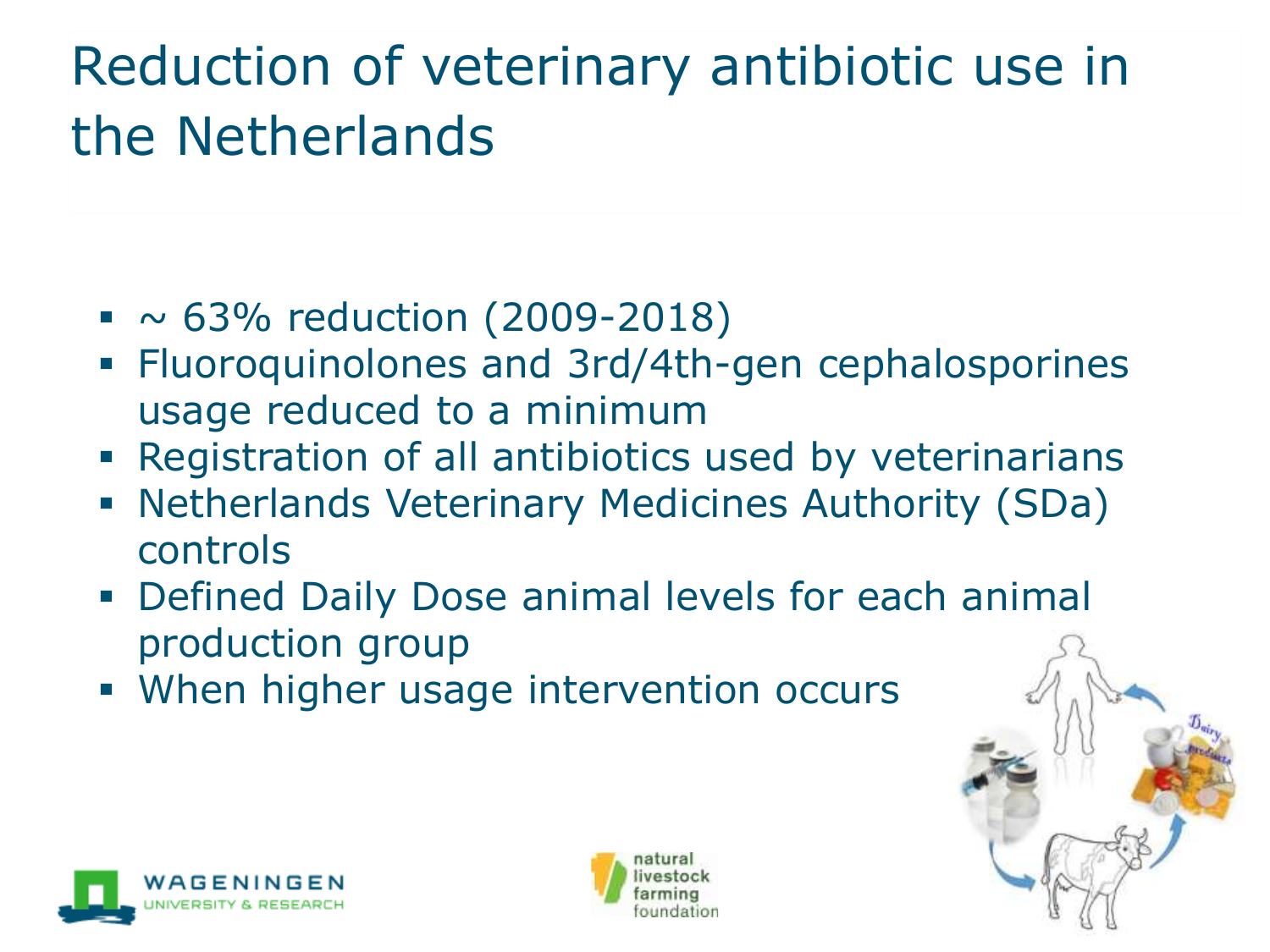# Reduction of veterinary antibiotic use in the Netherlands

- $\sim$  63% reduction (2009-2018)
- Fluoroquinolones and 3rd/4th-gen cephalosporines usage reduced to a minimum
- **Example 2** Registration of all antibiotics used by veterinarians
- **E** Netherlands Veterinary Medicines Authority (SDa) controls
- Defined Daily Dose animal levels for each animal production group
- **.** When higher usage intervention occurs





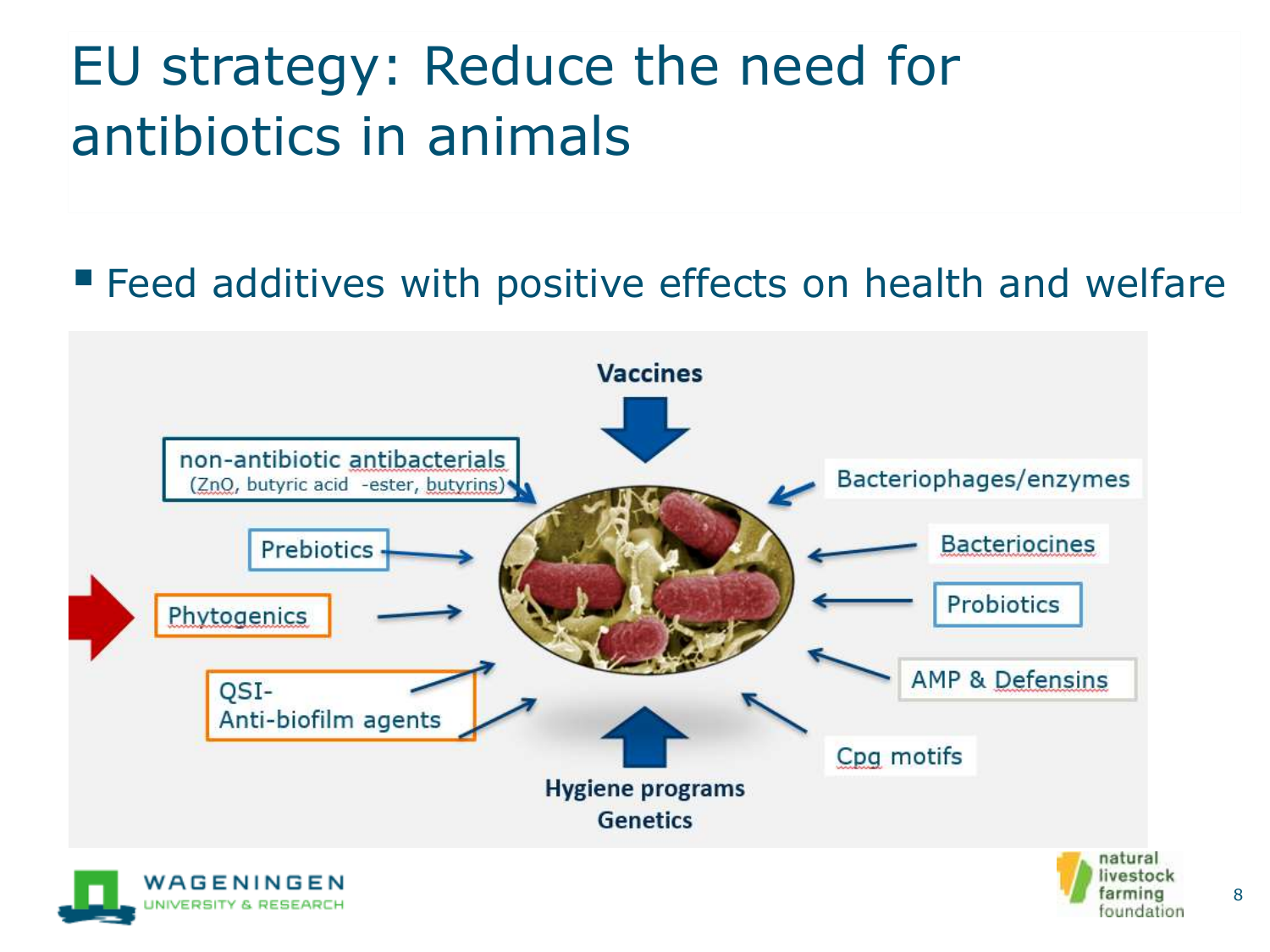# EU strategy: Reduce the need for antibiotics in animals

#### ■ Feed additives with positive effects on health and welfare



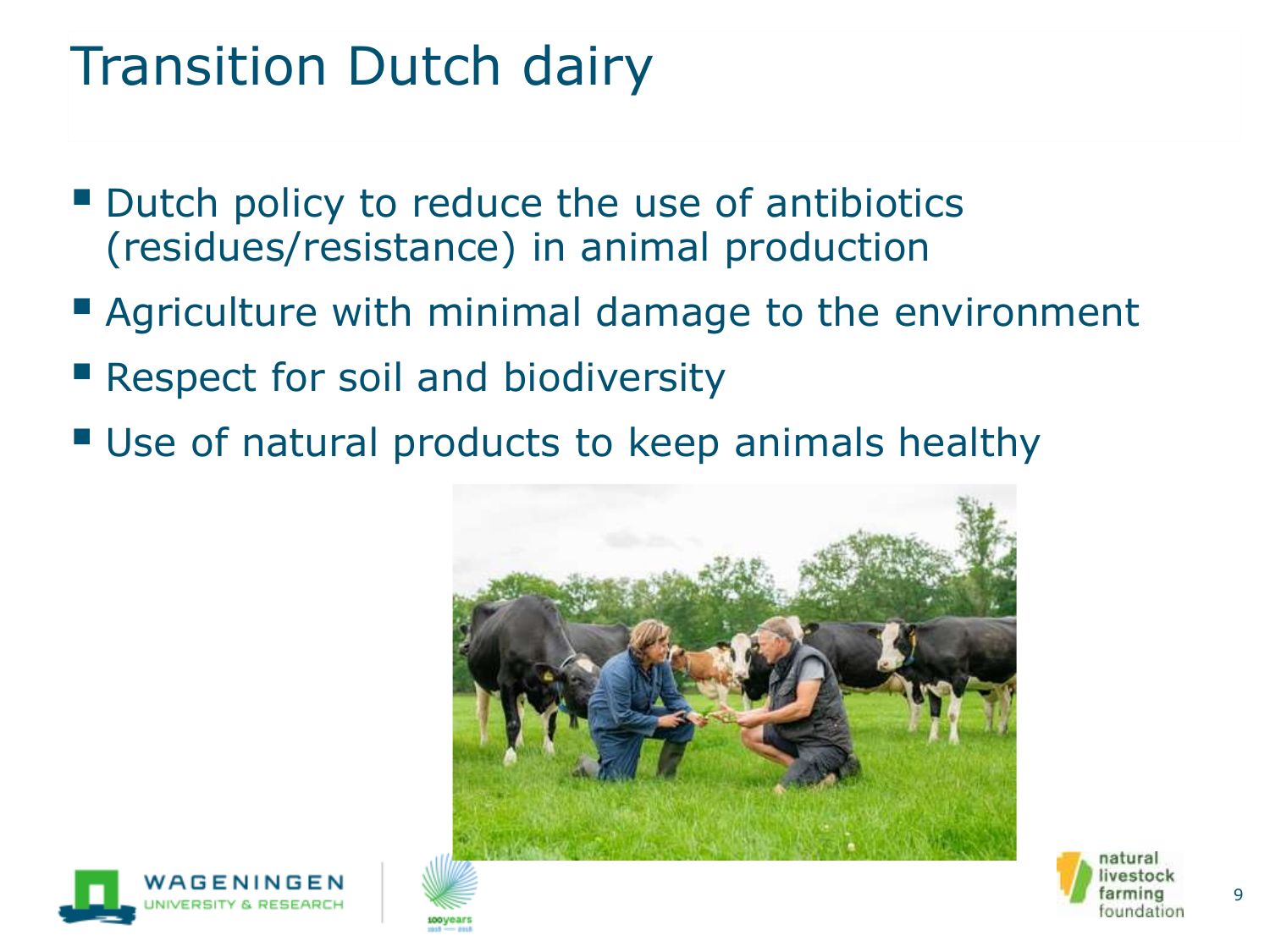#### Transition Dutch dairy

- Dutch policy to reduce the use of antibiotics (residues/resistance) in animal production
- **E** Agriculture with minimal damage to the environment
- **E** Respect for soil and biodiversity
- Use of natural products to keep animals healthy





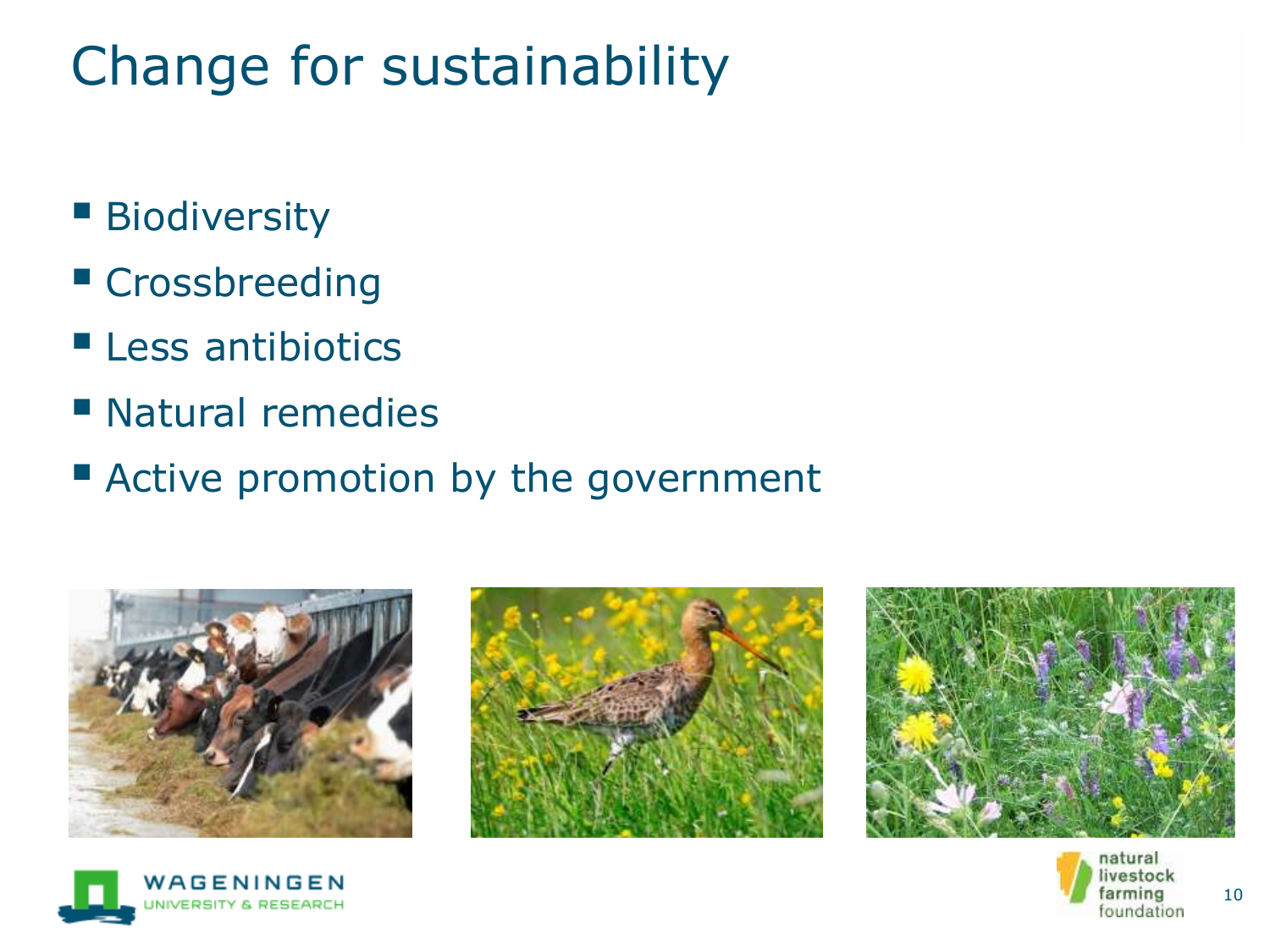# Change for sustainability

- Biodiversity
- Crossbreeding
- **Less antibiotics**
- Natural remedies
- Active promotion by the government







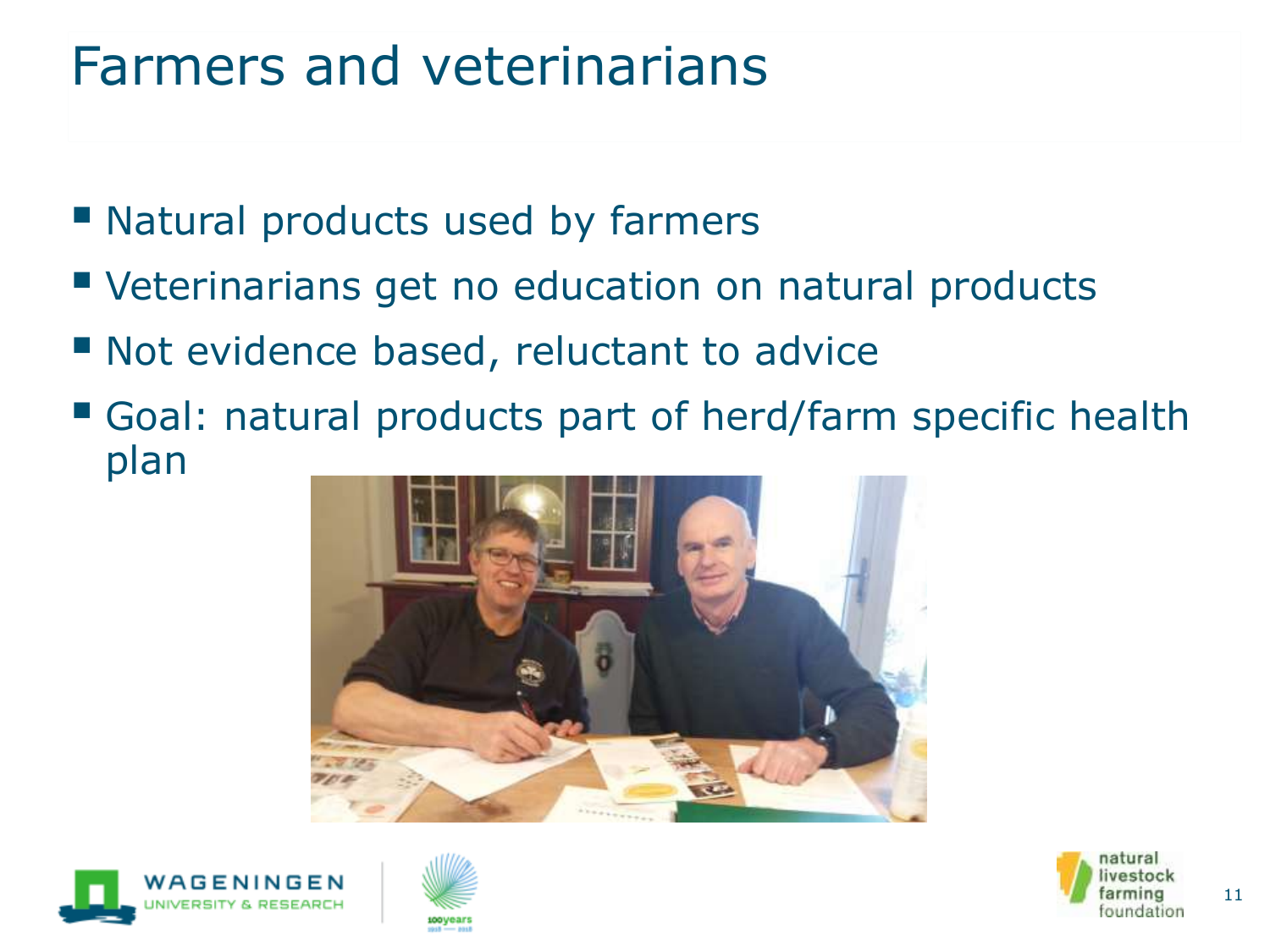#### Farmers and veterinarians

- Natural products used by farmers
- Veterinarians get no education on natural products
- Not evidence based, reluctant to advice
- Goal: natural products part of herd/farm specific health plan







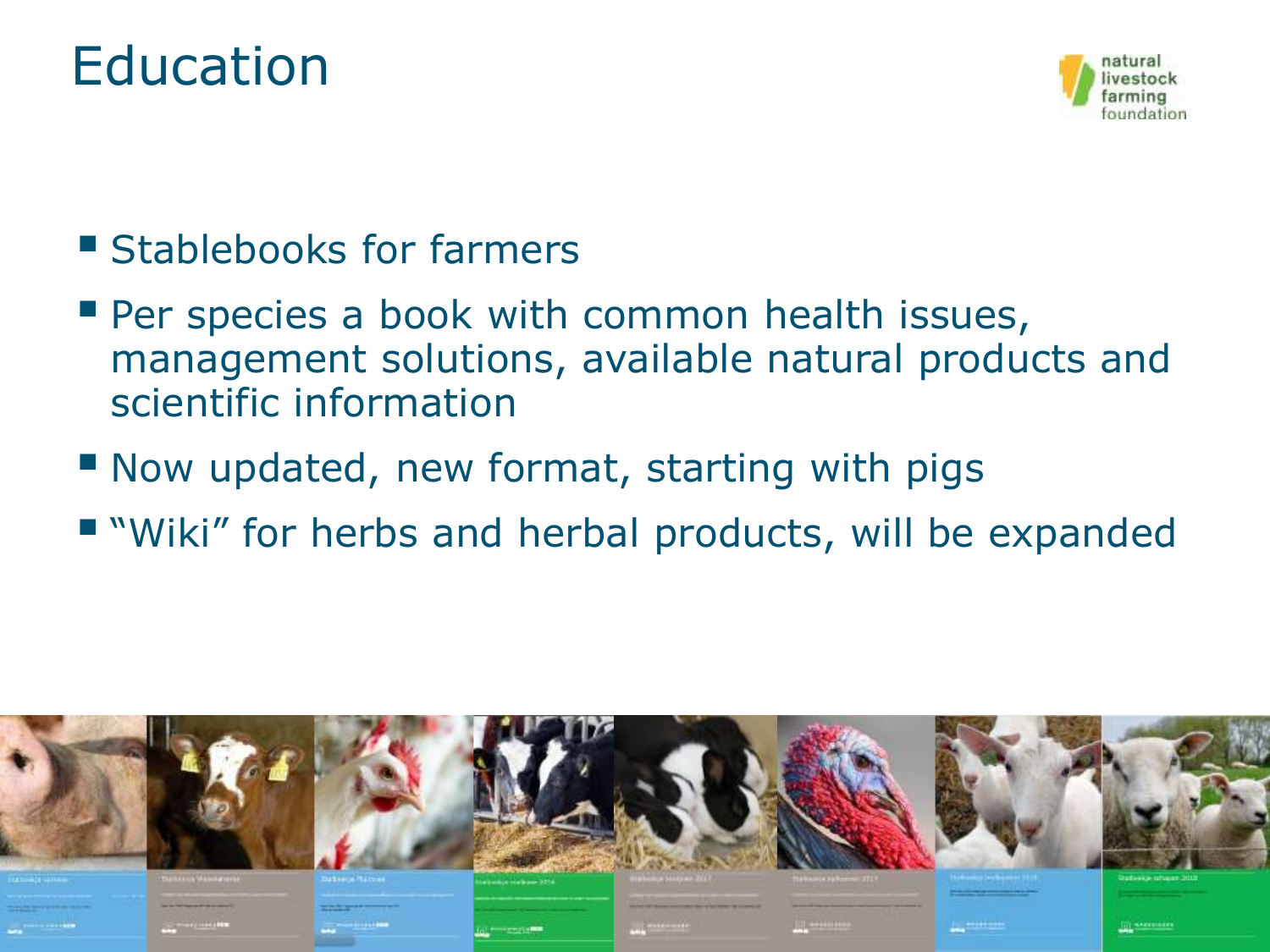#### Education



- Stablebooks for farmers
- **Per species a book with common health issues,** management solutions, available natural products and scientific information
- Now updated, new format, starting with pigs
- "Wiki" for herbs and herbal products, will be expanded

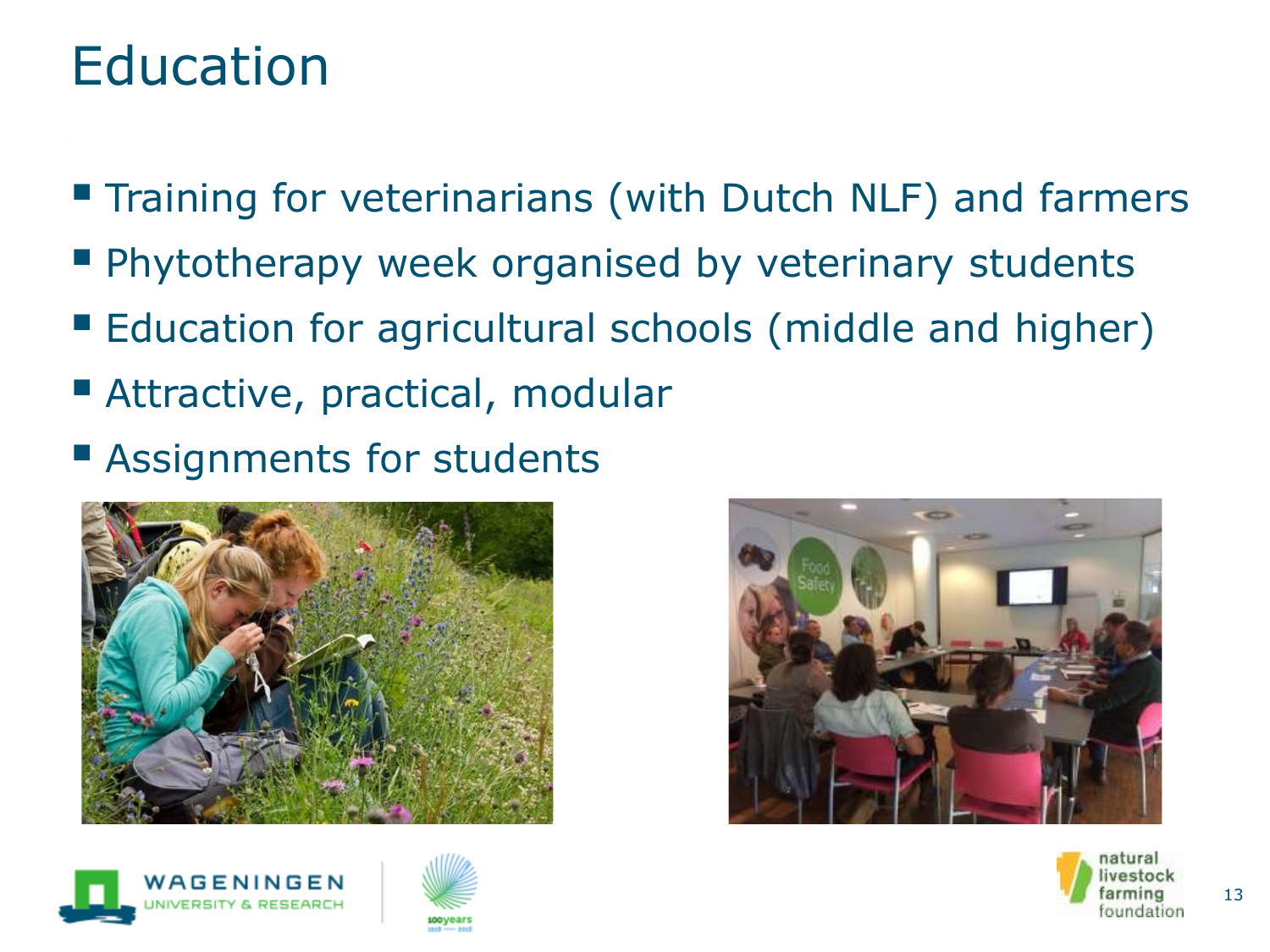#### Education

- **Training for veterinarians (with Dutch NLF) and farmers**
- **Phytotherapy week organised by veterinary students**
- Education for agricultural schools (middle and higher)
- Attractive, practical, modular
- Assignments for students









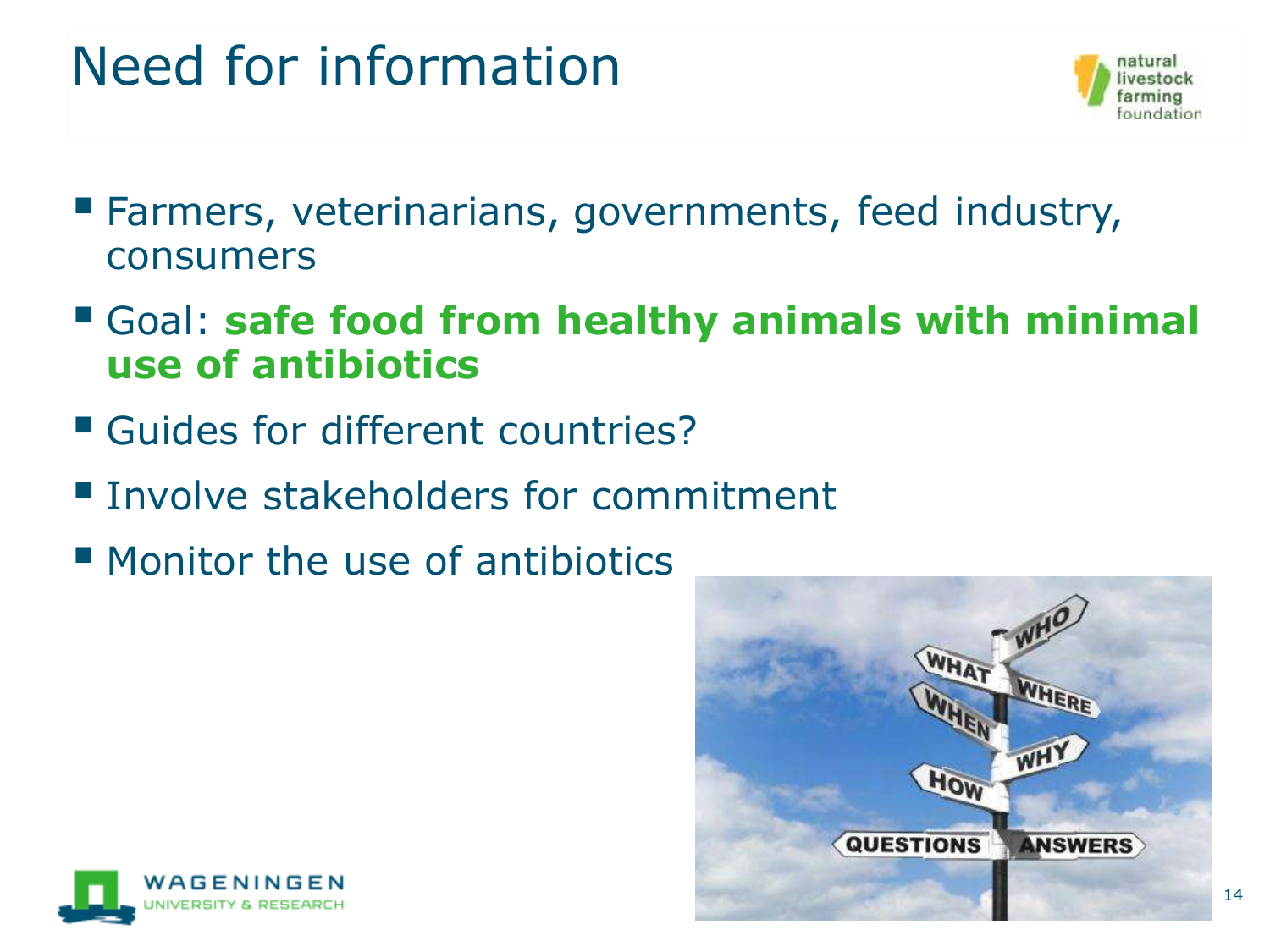# Need for information



- Farmers, veterinarians, governments, feed industry, consumers
- Goal: **safe food from healthy animals with minimal use of antibiotics**
- Guides for different countries?
- **Involve stakeholders for commitment**
- Monitor the use of antibiotics



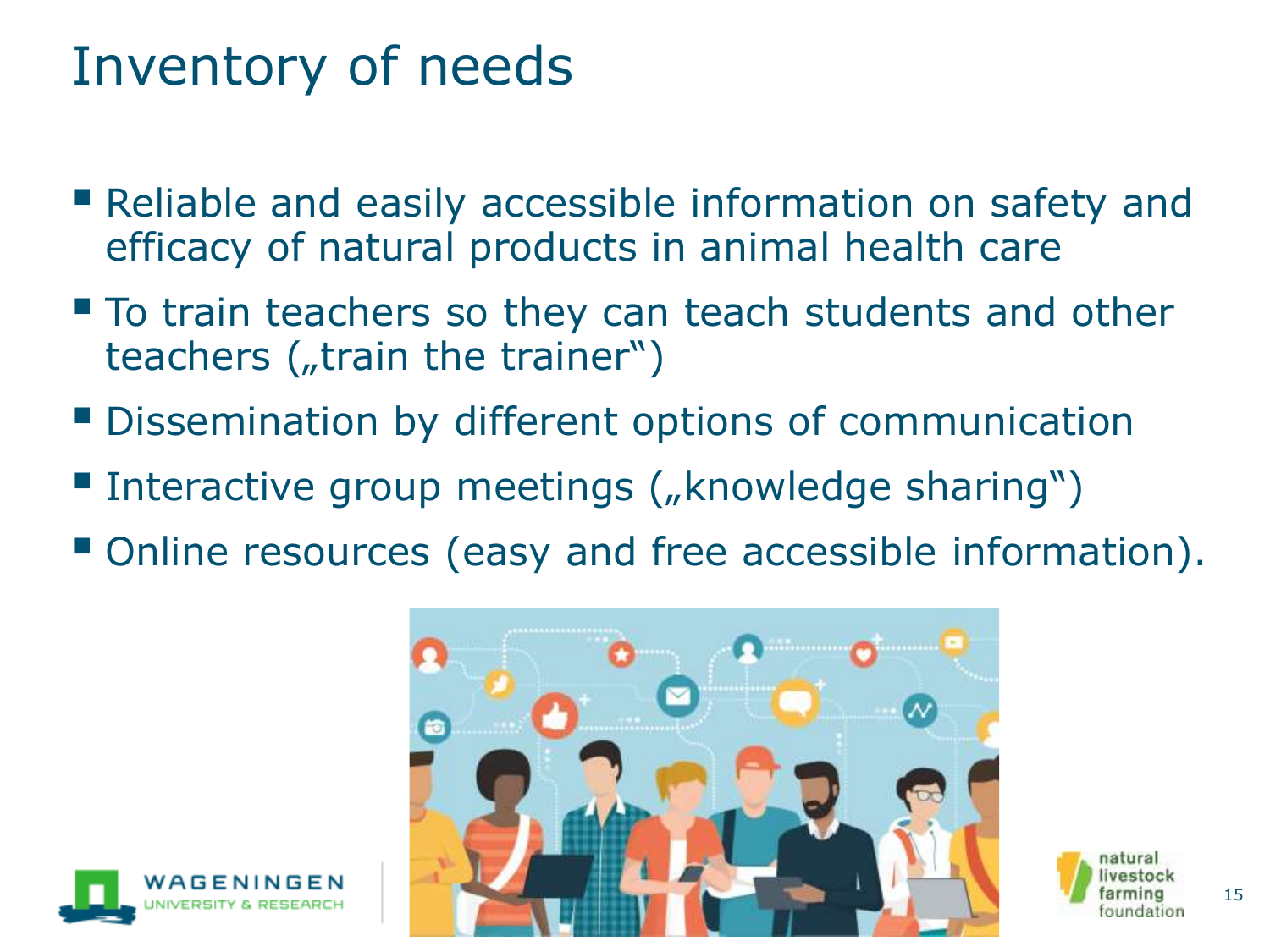#### Inventory of needs

- Reliable and easily accessible information on safety and efficacy of natural products in animal health care
- To train teachers so they can teach students and other teachers  $($ , train the trainer")
- **Dissemination by different options of communication**
- Interactive group meetings ("knowledge sharing")
- Online resources (easy and free accessible information).



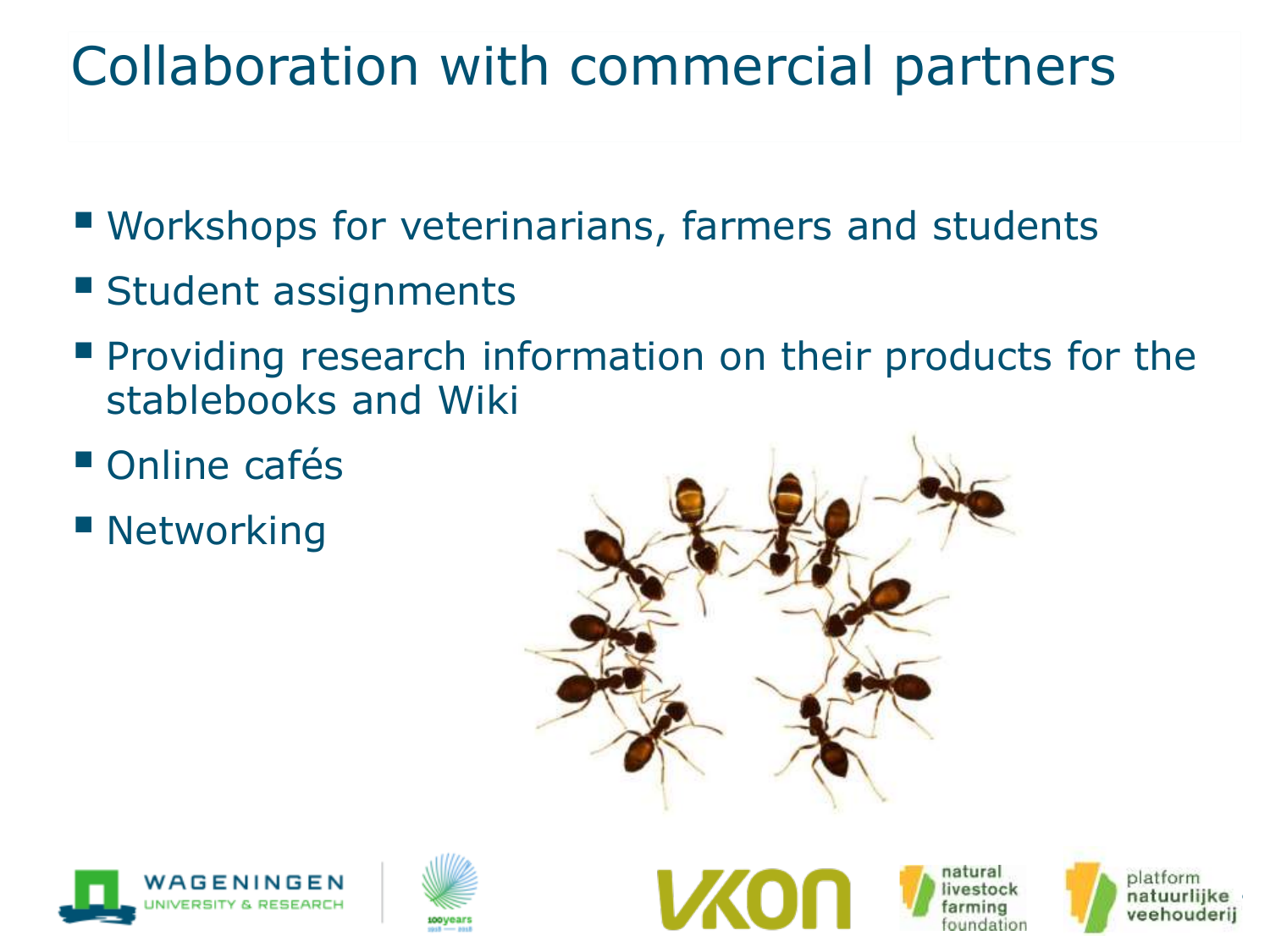# Collaboration with commercial partners

- Workshops for veterinarians, farmers and students
- **Example 1 Student assignments**
- **Providing research information on their products for the** stablebooks and Wiki
- Online cafés
- Networking













16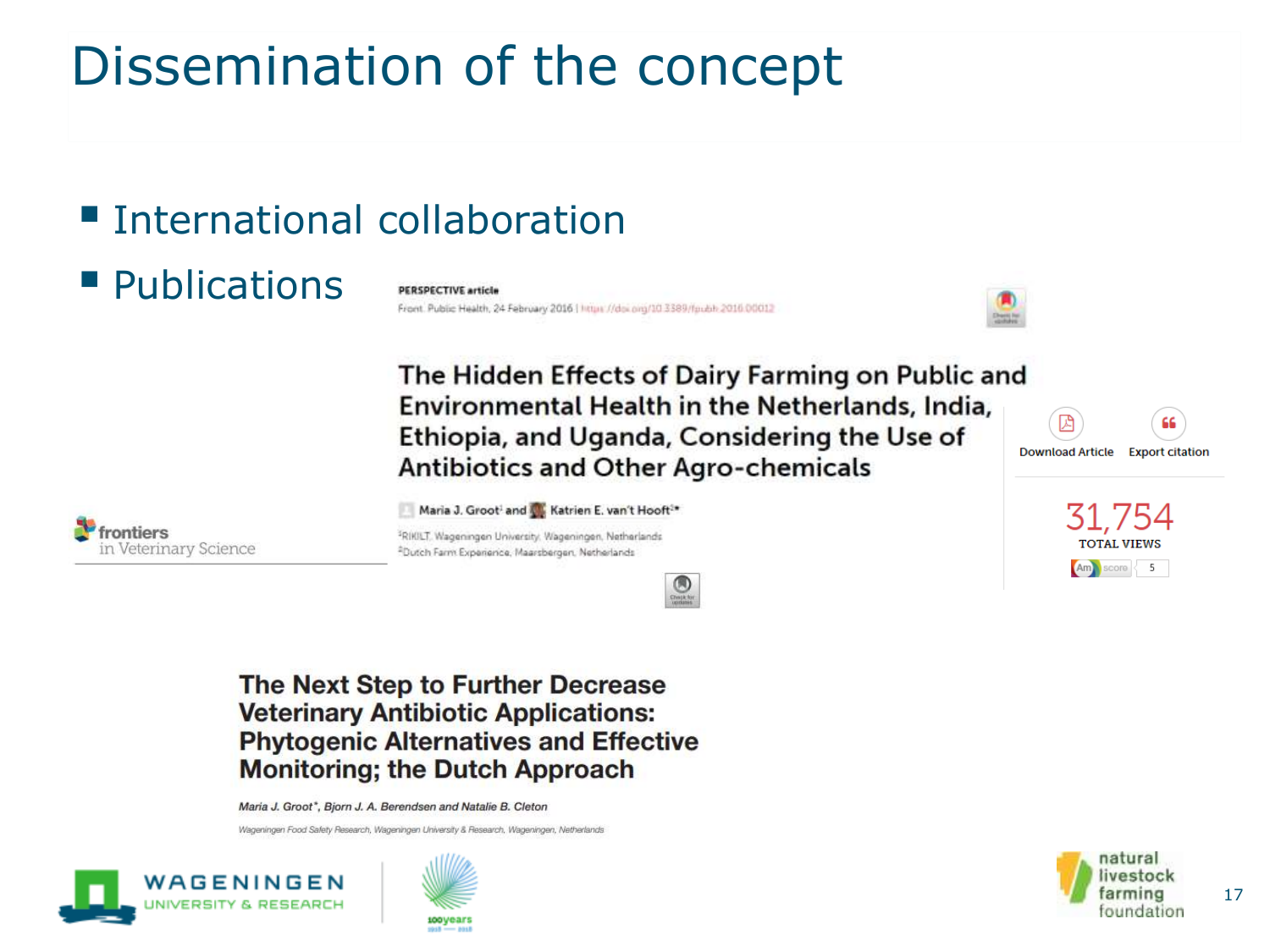# Dissemination of the concept

#### **Exercise International collaboration**

#### ■ Publications

**PERSPECTIVE article** Front. Public Health, 24 February 2016 | https://doi.org/10.3389/fpubli.2016.00012



The Hidden Effects of Dairy Farming on Public and Environmental Health in the Netherlands, India, Ethiopia, and Uganda, Considering the Use of Download Article Export citation **Antibiotics and Other Agro-chemicals** 



Maria J. Groot<sup>1</sup> and Katrien E. van't Hooft<sup>2\*</sup>

<sup>3</sup>RIKILT, Wageningen University, Wageningen, Netherlands <sup>2</sup>Dutch Farm Experience, Maarsbergen, Netherlands



#### The Next Step to Further Decrease **Veterinary Antibiotic Applications: Phytogenic Alternatives and Effective Monitoring; the Dutch Approach**

Maria J. Groot\*, Bjorn J. A. Berendsen and Natalie B. Cleton

Wageningen Food Safety Research, Wageningen University & Research, Wageningen, Netherlands







31.754

**TOTAL VIEWS** 

Am score 5